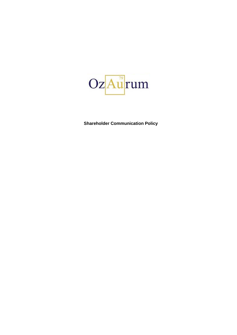

**Shareholder Communication Policy**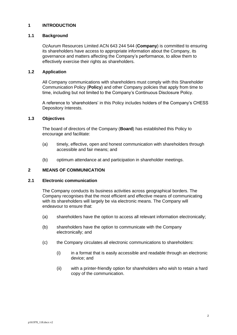# **1 INTRODUCTION**

# **1.1 Background**

OzAurum Resources Limited ACN 643 244 544 (**Company**) is committed to ensuring its shareholders have access to appropriate information about the Company, its governance and matters affecting the Company's performance, to allow them to effectively exercise their rights as shareholders.

## **1.2 Application**

All Company communications with shareholders must comply with this Shareholder Communication Policy (**Policy**) and other Company policies that apply from time to time, including but not limited to the Company's Continuous Disclosure Policy.

A reference to 'shareholders' in this Policy includes holders of the Company's CHESS Depository Interests.

## **1.3 Objectives**

The board of directors of the Company (**Board**) has established this Policy to encourage and facilitate:

- (a) timely, effective, open and honest communication with shareholders through accessible and fair means; and
- (b) optimum attendance at and participation in shareholder meetings.

## **2 MEANS OF COMMUNICATION**

#### **2.1 Electronic communication**

The Company conducts its business activities across geographical borders. The Company recognises that the most efficient and effective means of communicating with its shareholders will largely be via electronic means. The Company will endeavour to ensure that:

- (a) shareholders have the option to access all relevant information electronically;
- (b) shareholders have the option to communicate with the Company electronically; and
- (c) the Company circulates all electronic communications to shareholders:
	- (i) in a format that is easily accessible and readable through an electronic device; and
	- (ii) with a printer-friendly option for shareholders who wish to retain a hard copy of the communication.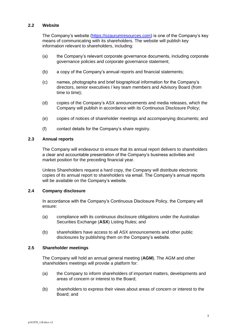### **2.2 Website**

The Company's website [\(https://ozaurumresources.com\)](https://ozaurumresources.com/) is one of the Company's key means of communicating with its shareholders. The website will publish key information relevant to shareholders, including:

- (a) the Company's relevant corporate governance documents, including corporate governance policies and corporate governance statement;
- (b) a copy of the Company's annual reports and financial statements;
- (c) names, photographs and brief biographical information for the Company's directors, senior executives / key team members and Advisory Board (from time to time);
- (d) copies of the Company's ASX announcements and media releases, which the Company will publish in accordance with its Continuous Disclosure Policy;
- (e) copies of notices of shareholder meetings and accompanying documents; and
- (f) contact details for the Company's share registry.

# **2.3 Annual reports**

The Company will endeavour to ensure that its annual report delivers to shareholders a clear and accountable presentation of the Company's business activities and market position for the preceding financial year.

Unless Shareholders request a hard copy, the Company will distribute electronic copies of its annual report to shareholders via email. The Company's annual reports will be available on the Company's website.

### **2.4 Company disclosure**

In accordance with the Company's Continuous Disclosure Policy, the Company will ensure:

- (a) compliance with its continuous disclosure obligations under the Australian Securities Exchange (**ASX**) Listing Rules; and
- (b) shareholders have access to all ASX announcements and other public disclosures by publishing them on the Company's website.

### **2.5 Shareholder meetings**

The Company will hold an annual general meeting (**AGM**). The AGM and other shareholders meetings will provide a platform for:

- (a) the Company to inform shareholders of important matters, developments and areas of concern or interest to the Board;
- (b) shareholders to express their views about areas of concern or interest to the Board; and